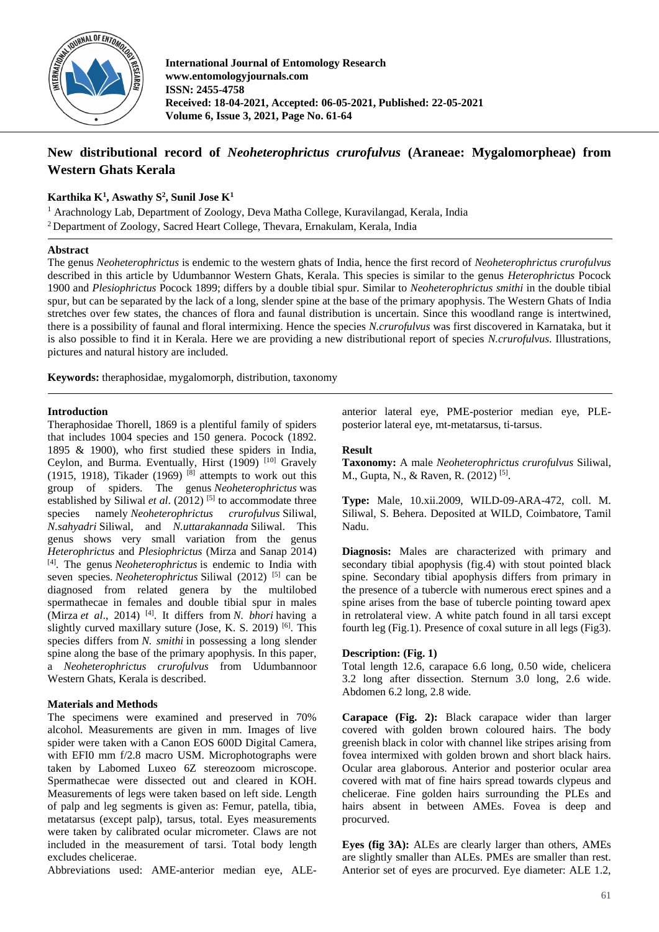

**International Journal of Entomology Research www.entomologyjournals.com ISSN: 2455-4758 Received: 18-04-2021, Accepted: 06-05-2021, Published: 22-05-2021 Volume 6, Issue 3, 2021, Page No. 61-64**

# **New distributional record of** *Neoheterophrictus crurofulvus* **(Araneae: Mygalomorpheae) from Western Ghats Kerala**

# **Karthika K<sup>1</sup> , Aswathy S<sup>2</sup> , Sunil Jose K<sup>1</sup>**

<sup>1</sup> Arachnology Lab, Department of Zoology, Deva Matha College, Kuravilangad, Kerala, India <sup>2</sup> Department of Zoology, Sacred Heart College, Thevara, Ernakulam, Kerala, India

## **Abstract**

The genus *Neoheterophrictus* is endemic to the western ghats of India, hence the first record of *Neoheterophrictus crurofulvus* described in this article by Udumbannor Western Ghats, Kerala. This species is similar to the genus *Heterophrictus* Pocock 1900 and *Plesiophrictus* Pocock 1899; differs by a double tibial spur. Similar to *Neoheterophrictus smithi* in the double tibial spur, but can be separated by the lack of a long, slender spine at the base of the primary apophysis. The Western Ghats of India stretches over few states, the chances of flora and faunal distribution is uncertain. Since this woodland range is intertwined, there is a possibility of faunal and floral intermixing. Hence the species *N.crurofulvus* was first discovered in Karnataka, but it is also possible to find it in Kerala. Here we are providing a new distributional report of species *N.crurofulvus*. Illustrations, pictures and natural history are included.

**Keywords:** theraphosidae, mygalomorph, distribution, taxonomy

## **Introduction**

Theraphosidae Thorell, 1869 is a plentiful family of spiders that includes 1004 species and 150 genera. Pocock (1892. 1895 & 1900), who first studied these spiders in India, Ceylon, and Burma. Eventually, Hirst  $(1909)$ <sup>[10]</sup> Gravely (1915, 1918), Tikader (1969)<sup>[8]</sup> attempts to work out this group of spiders. The genus *Neoheterophrictus* was established by Siliwal *et al.* (2012)<sup>[5]</sup> to accommodate three species namely *Neoheterophrictus crurofulvus* Siliwal, *N.sahyadri* Siliwal, and *N.uttarakannada* Siliwal. This genus shows very small variation from the genus *Heterophrictus* and *Plesiophrictus* (Mirza and Sanap 2014) [4] . The genus *Neoheterophrictus* is endemic to India with seven species. *Neoheterophrictus* Siliwal (2012)<sup>[5]</sup> can be diagnosed from related genera by the multilobed spermathecae in females and double tibial spur in males (Mirza et al., 2014)<sup>[4]</sup>. It differs from *N. bhori* having a slightly curved maxillary suture (Jose, K. S. 2019)<sup>[6]</sup>. This species differs from *N. smithi* in possessing a long slender spine along the base of the primary apophysis. In this paper, a *Neoheterophrictus crurofulvus* from Udumbannoor Western Ghats, Kerala is described.

# **Materials and Methods**

The specimens were examined and preserved in 70% alcohol. Measurements are given in mm. Images of live spider were taken with a Canon EOS 600D Digital Camera, with EFI0 mm f/2.8 macro USM. Microphotographs were taken by Labomed Luxeo 6Z stereozoom microscope. Spermathecae were dissected out and cleared in KOH. Measurements of legs were taken based on left side. Length of palp and leg segments is given as: Femur, patella, tibia, metatarsus (except palp), tarsus, total. Eyes measurements were taken by calibrated ocular micrometer. Claws are not included in the measurement of tarsi. Total body length excludes chelicerae.

Abbreviations used: AME-anterior median eye, ALE-

anterior lateral eye, PME-posterior median eye, PLEposterior lateral eye, mt-metatarsus, ti-tarsus.

## **Result**

**Taxonomy:** A male *Neoheterophrictus crurofulvus* Siliwal, M., Gupta, N., & Raven, R. (2012)<sup>[5]</sup>.

**Type:** Male, 10.xii.2009, WILD-09-ARA-472, coll. M. Siliwal, S. Behera. Deposited at WILD, Coimbatore, Tamil Nadu.

**Diagnosis:** Males are characterized with primary and secondary tibial apophysis (fig.4) with stout pointed black spine. Secondary tibial apophysis differs from primary in the presence of a tubercle with numerous erect spines and a spine arises from the base of tubercle pointing toward apex in retrolateral view. A white patch found in all tarsi except fourth leg (Fig.1). Presence of coxal suture in all legs (Fig3).

# **Description: (Fig. 1)**

Total length 12.6, carapace 6.6 long, 0.50 wide, chelicera 3.2 long after dissection. Sternum 3.0 long, 2.6 wide. Abdomen 6.2 long, 2.8 wide.

**Carapace (Fig. 2):** Black carapace wider than larger covered with golden brown coloured hairs. The body greenish black in color with channel like stripes arising from fovea intermixed with golden brown and short black hairs. Ocular area glaborous. Anterior and posterior ocular area covered with mat of fine hairs spread towards clypeus and chelicerae. Fine golden hairs surrounding the PLEs and hairs absent in between AMEs. Fovea is deep and procurved.

**Eyes (fig 3A):** ALEs are clearly larger than others, AMEs are slightly smaller than ALEs. PMEs are smaller than rest. Anterior set of eyes are procurved. Eye diameter: ALE 1.2,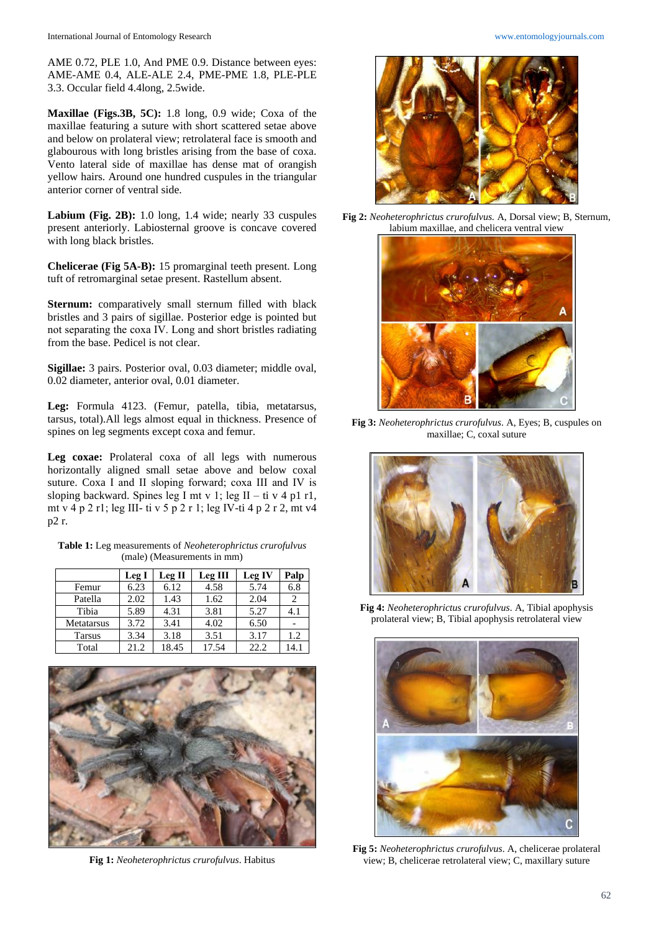AME 0.72, PLE 1.0, And PME 0.9. Distance between eyes: AME-AME 0.4, ALE-ALE 2.4, PME-PME 1.8, PLE-PLE 3.3. Occular field 4.4long, 2.5wide.

**Maxillae (Figs.3B, 5C):** 1.8 long, 0.9 wide; Coxa of the maxillae featuring a suture with short scattered setae above and below on prolateral view; retrolateral face is smooth and glabourous with long bristles arising from the base of coxa. Vento lateral side of maxillae has dense mat of orangish yellow hairs. Around one hundred cuspules in the triangular anterior corner of ventral side.

**Labium (Fig. 2B):** 1.0 long, 1.4 wide; nearly 33 cuspules present anteriorly. Labiosternal groove is concave covered with long black bristles.

**Chelicerae (Fig 5A-B):** 15 promarginal teeth present. Long tuft of retromarginal setae present. Rastellum absent.

**Sternum:** comparatively small sternum filled with black bristles and 3 pairs of sigillae. Posterior edge is pointed but not separating the coxa ІV. Long and short bristles radiating from the base. Pedicel is not clear.

**Sigillae:** 3 pairs. Posterior oval, 0.03 diameter; middle oval, 0.02 diameter, anterior oval, 0.01 diameter.

**Leg:** Formula 4123. (Femur, patella, tibia, metatarsus, tarsus, total).All legs almost equal in thickness. Presence of spines on leg segments except coxa and femur.

**Leg coxae:** Prolateral coxa of all legs with numerous horizontally aligned small setae above and below coxal suture. Coxa І and ІІ sloping forward; coxa ІІІ and ІV is sloping backward. Spines leg I mt v 1; leg II – ti v 4 p1 r1, mt v 4 p 2 r1; leg ІІІ- ti v 5 p 2 r 1; leg ІV-ti 4 p 2 r 2, mt v4 p2 r.

**Table 1:** Leg measurements of *Neoheterophrictus crurofulvus* (male) (Measurements in mm)

|               | Leg I | Leg II | <b>Leg III</b> | <b>Leg IV</b> | Palp |
|---------------|-------|--------|----------------|---------------|------|
| Femur         | 6.23  | 6.12   | 4.58           | 5.74          | 6.8  |
| Patella       | 2.02  | 1.43   | 1.62           | 2.04          | 2    |
| Tibia         | 5.89  | 4.31   | 3.81           | 5.27          | 4.1  |
| Metatarsus    | 3.72  | 3.41   | 4.02           | 6.50          |      |
| <b>Tarsus</b> | 3.34  | 3.18   | 3.51           | 3.17          | 1.2  |
| Total         | 21.2  | 18.45  | 17.54          | 22.2          | 14.1 |



**Fig 1:** *Neoheterophrictus crurofulvus*. Habitus



**Fig 2:** *Neoheterophrictus crurofulvus.* A, Dorsal view; B, Sternum, labium maxillae, and chelicera ventral view



**Fig 3:** *Neoheterophrictus crurofulvus*. A, Eyes; B, cuspules on maxillae; C, coxal suture



**Fig 4:** *Neoheterophrictus crurofulvus*. A, Tibial apophysis prolateral view; B, Tibial apophysis retrolateral view



**Fig 5:** *Neoheterophrictus crurofulvus*. A, chelicerae prolateral view; B, chelicerae retrolateral view; C, maxillary suture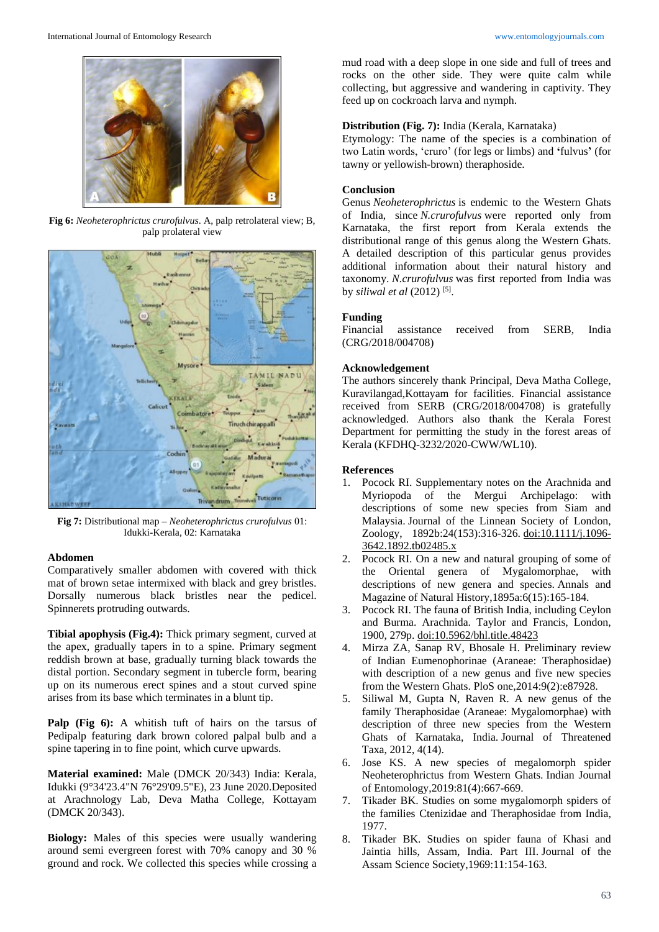

**Fig 6:** *Neoheterophrictus crurofulvus*. A, palp retrolateral view; B, palp prolateral view



**Fig 7:** Distributional map – *Neoheterophrictus crurofulvus* 01: Idukki-Kerala, 02: Karnataka

## **Abdomen**

Comparatively smaller abdomen with covered with thick mat of brown setae intermixed with black and grey bristles. Dorsally numerous black bristles near the pedicel. Spinnerets protruding outwards.

**Tibial apophysis (Fig.4):** Thick primary segment, curved at the apex, gradually tapers in to a spine. Primary segment reddish brown at base, gradually turning black towards the distal portion. Secondary segment in tubercle form, bearing up on its numerous erect spines and a stout curved spine arises from its base which terminates in a blunt tip.

Palp (Fig 6): A whitish tuft of hairs on the tarsus of Pedipalp featuring dark brown colored palpal bulb and a spine tapering in to fine point, which curve upwards.

**Material examined:** Male (DMCK 20/343) India: Kerala, Idukki (9°34'23.4"N 76°29'09.5"E), 23 June 2020.Deposited at Arachnology Lab, Deva Matha College, Kottayam (DMCK 20/343).

**Biology:** Males of this species were usually wandering around semi evergreen forest with 70% canopy and 30 % ground and rock. We collected this species while crossing a mud road with a deep slope in one side and full of trees and rocks on the other side. They were quite calm while collecting, but aggressive and wandering in captivity. They feed up on cockroach larva and nymph.

# **Distribution (Fig. 7):** India (Kerala, Karnataka)

Etymology: The name of the species is a combination of two Latin words, 'cruro' (for legs or limbs) and **'**fulvus**'** (for tawny or yellowish-brown) theraphoside.

#### **Conclusion**

Genus *Neoheterophrictus* is endemic to the Western Ghats of India, since *N.crurofulvus* were reported only from Karnataka, the first report from Kerala extends the distributional range of this genus along the Western Ghats. A detailed description of this particular genus provides additional information about their natural history and taxonomy. *N.crurofulvus* was first reported from India was by *siliwal et al* (2012)<sup>[5]</sup>.

## **Funding**

Financial assistance received from SERB, India (CRG/2018/004708)

#### **Acknowledgement**

The authors sincerely thank Principal, Deva Matha College, Kuravilangad,Kottayam for facilities. Financial assistance received from SERB (CRG/2018/004708) is gratefully acknowledged. Authors also thank the Kerala Forest Department for permitting the study in the forest areas of Kerala (KFDHQ-3232/2020-CWW/WL10).

#### **References**

- 1. Pocock RI. Supplementary notes on the Arachnida and Myriopoda of the Mergui Archipelago: with descriptions of some new species from Siam and Malaysia. Journal of the Linnean Society of London, Zoology, 1892b:24(153):316-326. doi:10.1111/j.1096- 3642.1892.tb02485.x
- 2. Pocock RI. On a new and natural grouping of some of the Oriental genera of Mygalomorphae, with descriptions of new genera and species. Annals and Magazine of Natural History,1895a:6(15):165-184.
- 3. Pocock RI. The fauna of British India, including Ceylon and Burma. Arachnida. Taylor and Francis, London, 1900, 279p. doi:10.5962/bhl.title.48423
- 4. Mirza ZA, Sanap RV, Bhosale H. Preliminary review of Indian Eumenophorinae (Araneae: Theraphosidae) with description of a new genus and five new species from the Western Ghats. PloS one,2014:9(2):e87928.
- 5. Siliwal M, Gupta N, Raven R. A new genus of the family Theraphosidae (Araneae: Mygalomorphae) with description of three new species from the Western Ghats of Karnataka, India. Journal of Threatened Taxa, 2012, 4(14).
- 6. Jose KS. A new species of megalomorph spider Neoheterophrictus from Western Ghats*.* Indian Journal of Entomology,2019:81(4):667-669.
- Tikader BK. Studies on some mygalomorph spiders of the families Ctenizidae and Theraphosidae from India, 1977.
- 8. Tikader BK. Studies on spider fauna of Khasi and Jaintia hills, Assam, India. Part III. Journal of the Assam Science Society,1969:11:154-163.